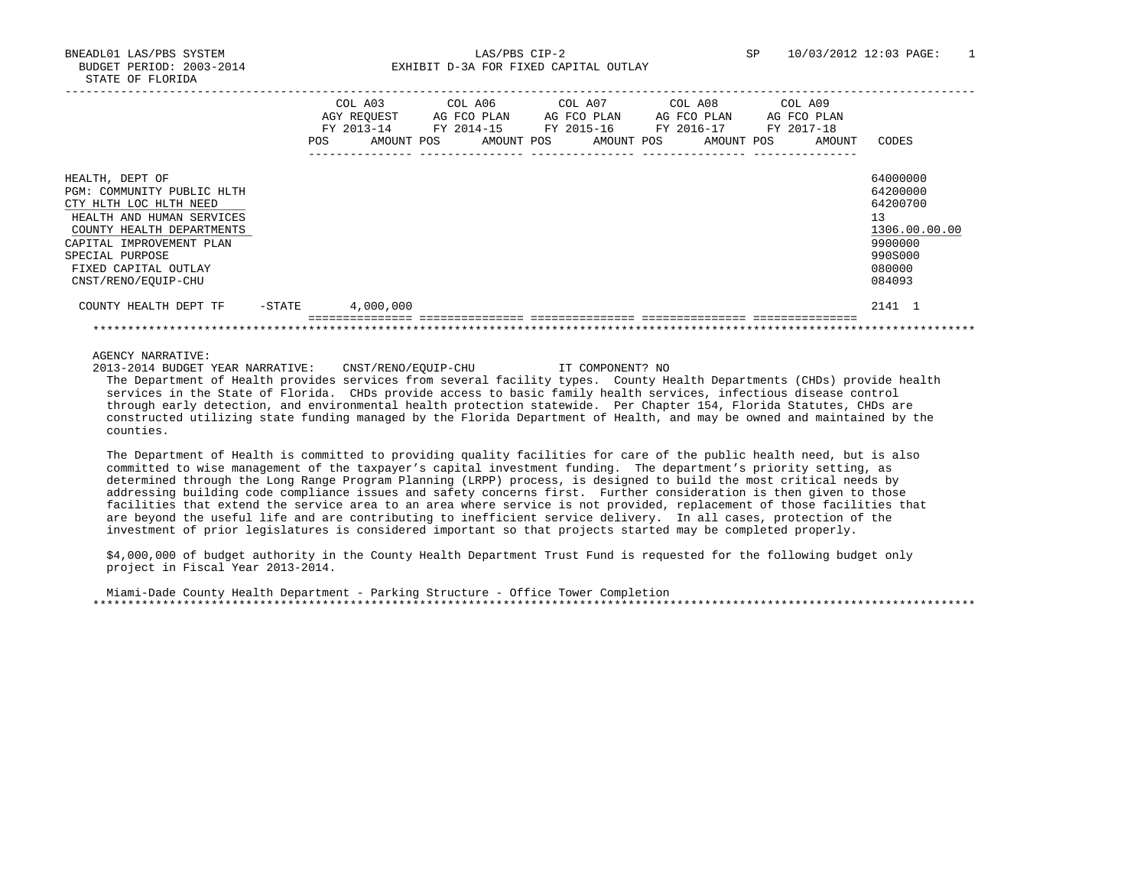BNEADL01 LAS/PBS SYSTEM LAS/PBS CIP-2 SP 10/03/2012 12:03 PAGE: 1 BUDGET PERIOD: 2003-2014 **EXHIBIT D-3A FOR FIXED CAPITAL OUTLAY** 

|                            |           | COL A03<br>AGY REOUEST<br>FY 2013-14 |            |  | COL A06<br>COL A07<br>AG FCO PLAN<br>FY 2014-15 |            |  |  | AG FCO PLAN<br>FY 2015-16 |  |  | COL A08<br>AG FCO PLAN<br>FY 2016-17 | COL A09<br>AG FCO PLAN<br>FY 2017-18 |  |        |               |
|----------------------------|-----------|--------------------------------------|------------|--|-------------------------------------------------|------------|--|--|---------------------------|--|--|--------------------------------------|--------------------------------------|--|--------|---------------|
|                            |           | <b>POS</b>                           | AMOUNT POS |  |                                                 | AMOUNT POS |  |  | AMOUNT POS                |  |  | AMOUNT POS                           |                                      |  | AMOUNT | CODES         |
|                            |           |                                      |            |  |                                                 |            |  |  |                           |  |  |                                      |                                      |  |        |               |
| HEALTH, DEPT OF            |           |                                      |            |  |                                                 |            |  |  |                           |  |  |                                      |                                      |  |        | 64000000      |
| PGM: COMMUNITY PUBLIC HLTH |           |                                      |            |  |                                                 |            |  |  |                           |  |  |                                      |                                      |  |        | 64200000      |
| CTY HLTH LOC HLTH NEED     |           |                                      |            |  |                                                 |            |  |  |                           |  |  |                                      |                                      |  |        | 64200700      |
| HEALTH AND HUMAN SERVICES  |           |                                      |            |  |                                                 |            |  |  |                           |  |  |                                      |                                      |  |        | 13            |
| COUNTY HEALTH DEPARTMENTS  |           |                                      |            |  |                                                 |            |  |  |                           |  |  |                                      |                                      |  |        | 1306.00.00.00 |
| CAPITAL IMPROVEMENT PLAN   |           |                                      |            |  |                                                 |            |  |  |                           |  |  |                                      |                                      |  |        | 9900000       |
| SPECIAL PURPOSE            |           |                                      |            |  |                                                 |            |  |  |                           |  |  |                                      |                                      |  |        | 990S000       |
| FIXED CAPITAL OUTLAY       |           |                                      |            |  |                                                 |            |  |  |                           |  |  |                                      |                                      |  |        | 080000        |
| CNST/RENO/EOUIP-CHU        |           |                                      |            |  |                                                 |            |  |  |                           |  |  |                                      |                                      |  |        | 084093        |
| COUNTY HEALTH DEPT TF      | $-$ STATE |                                      | 4,000,000  |  |                                                 |            |  |  |                           |  |  |                                      |                                      |  |        | 2141 1        |
|                            |           |                                      |            |  |                                                 |            |  |  |                           |  |  |                                      |                                      |  |        |               |

AGENCY NARRATIVE:

 2013-2014 BUDGET YEAR NARRATIVE: CNST/RENO/EQUIP-CHU IT COMPONENT? NO The Department of Health provides services from several facility types. County Health Departments (CHDs) provide health services in the State of Florida. CHDs provide access to basic family health services, infectious disease control through early detection, and environmental health protection statewide. Per Chapter 154, Florida Statutes, CHDs are constructed utilizing state funding managed by the Florida Department of Health, and may be owned and maintained by the counties.

 The Department of Health is committed to providing quality facilities for care of the public health need, but is also committed to wise management of the taxpayer's capital investment funding. The department's priority setting, as determined through the Long Range Program Planning (LRPP) process, is designed to build the most critical needs by addressing building code compliance issues and safety concerns first. Further consideration is then given to those facilities that extend the service area to an area where service is not provided, replacement of those facilities that are beyond the useful life and are contributing to inefficient service delivery. In all cases, protection of the investment of prior legislatures is considered important so that projects started may be completed properly.

 \$4,000,000 of budget authority in the County Health Department Trust Fund is requested for the following budget only project in Fiscal Year 2013-2014.

 Miami-Dade County Health Department - Parking Structure - Office Tower Completion \*\*\*\*\*\*\*\*\*\*\*\*\*\*\*\*\*\*\*\*\*\*\*\*\*\*\*\*\*\*\*\*\*\*\*\*\*\*\*\*\*\*\*\*\*\*\*\*\*\*\*\*\*\*\*\*\*\*\*\*\*\*\*\*\*\*\*\*\*\*\*\*\*\*\*\*\*\*\*\*\*\*\*\*\*\*\*\*\*\*\*\*\*\*\*\*\*\*\*\*\*\*\*\*\*\*\*\*\*\*\*\*\*\*\*\*\*\*\*\*\*\*\*\*\*\*\*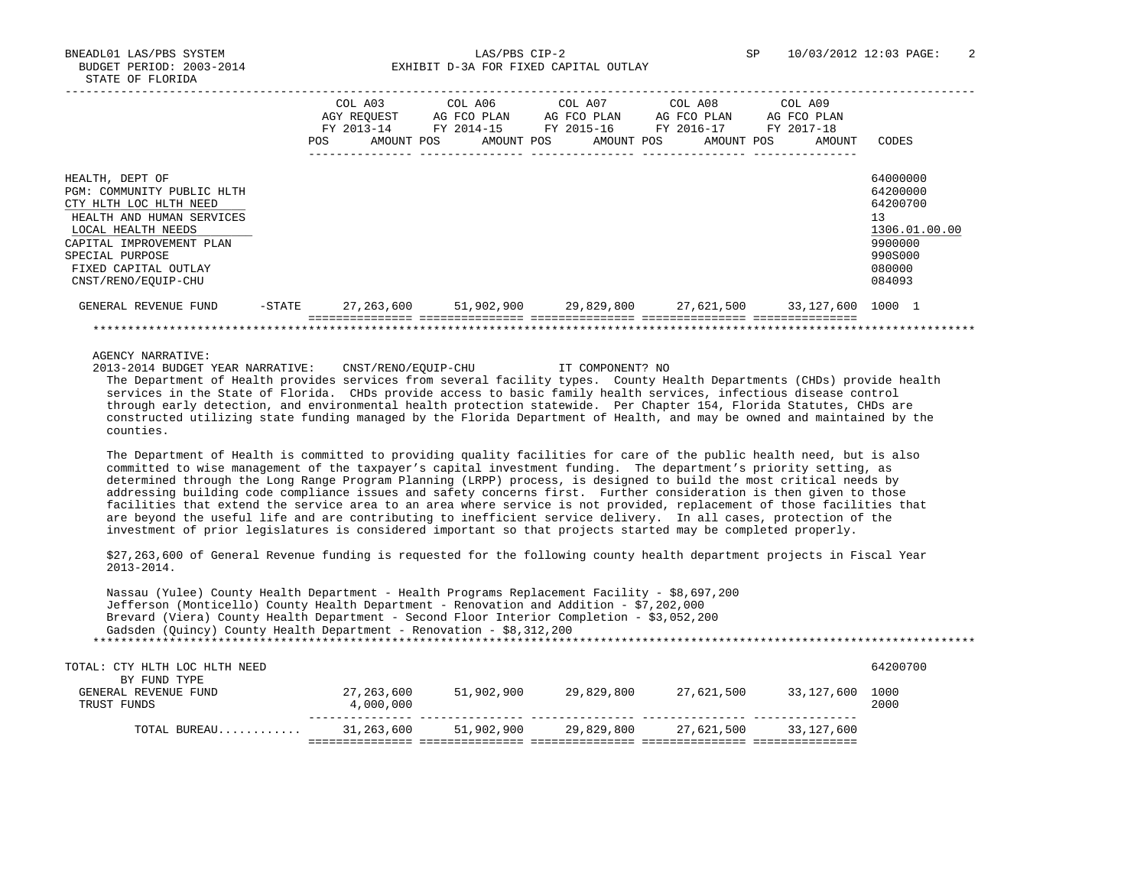BNEADL01 LAS/PBS SYSTEM LAS/PBS CIP-2 SP 10/03/2012 12:03 PAGE: 2 BUDGET PERIOD: 2003-2014 **EXHIBIT D-3A FOR FIXED CAPITAL OUTLAY** 

|                            |        |      | COL A03<br>AGY REOUEST | COL A06<br>AG FCO PLAN | COL A07 | AG FCO PLAN | COL A08 | AG FCO PLAN | COL A09<br>AG FCO PLAN       |               |
|----------------------------|--------|------|------------------------|------------------------|---------|-------------|---------|-------------|------------------------------|---------------|
|                            |        |      | FY 2013-14             | FY 2014-15             |         | FY 2015-16  |         | FY 2016-17  | FY 2017-18                   |               |
|                            |        | POS. | AMOUNT POS             | AMOUNT POS             |         | AMOUNT POS  |         | AMOUNT POS  | AMOUNT                       | CODES         |
|                            |        |      |                        |                        |         |             |         |             |                              |               |
| HEALTH, DEPT OF            |        |      |                        |                        |         |             |         |             |                              | 64000000      |
| PGM: COMMUNITY PUBLIC HLTH |        |      |                        |                        |         |             |         |             |                              | 64200000      |
| CTY HLTH LOC HLTH NEED     |        |      |                        |                        |         |             |         |             |                              | 64200700      |
| HEALTH AND HUMAN SERVICES  |        |      |                        |                        |         |             |         |             |                              | 13            |
| LOCAL HEALTH NEEDS         |        |      |                        |                        |         |             |         |             |                              | 1306.01.00.00 |
| CAPITAL IMPROVEMENT PLAN   |        |      |                        |                        |         |             |         |             |                              | 9900000       |
| SPECIAL PURPOSE            |        |      |                        |                        |         |             |         |             |                              | 990S000       |
| FIXED CAPITAL OUTLAY       |        |      |                        |                        |         |             |         |             |                              | 080000        |
| CNST/RENO/EOUIP-CHU        |        |      |                        |                        |         |             |         |             |                              | 084093        |
| GENERAL REVENUE FUND       | -STATE |      | 27,263,600             | 51,902,900 29,829,800  |         |             |         |             | 27,621,500 33,127,600 1000 1 |               |
|                            |        |      |                        |                        |         |             |         |             |                              |               |

AGENCY NARRATIVE:

 2013-2014 BUDGET YEAR NARRATIVE: CNST/RENO/EQUIP-CHU IT COMPONENT? NO The Department of Health provides services from several facility types. County Health Departments (CHDs) provide health services in the State of Florida. CHDs provide access to basic family health services, infectious disease control through early detection, and environmental health protection statewide. Per Chapter 154, Florida Statutes, CHDs are constructed utilizing state funding managed by the Florida Department of Health, and may be owned and maintained by the counties.

 The Department of Health is committed to providing quality facilities for care of the public health need, but is also committed to wise management of the taxpayer's capital investment funding. The department's priority setting, as determined through the Long Range Program Planning (LRPP) process, is designed to build the most critical needs by addressing building code compliance issues and safety concerns first. Further consideration is then given to those facilities that extend the service area to an area where service is not provided, replacement of those facilities that are beyond the useful life and are contributing to inefficient service delivery. In all cases, protection of the investment of prior legislatures is considered important so that projects started may be completed properly.

 \$27,263,600 of General Revenue funding is requested for the following county health department projects in Fiscal Year 2013-2014.

 Nassau (Yulee) County Health Department - Health Programs Replacement Facility - \$8,697,200 Jefferson (Monticello) County Health Department - Renovation and Addition - \$7,202,000 Brevard (Viera) County Health Department - Second Floor Interior Completion - \$3,052,200 Gadsden (Quincy) County Health Department - Renovation - \$8,312,200 \*\*\*\*\*\*\*\*\*\*\*\*\*\*\*\*\*\*\*\*\*\*\*\*\*\*\*\*\*\*\*\*\*\*\*\*\*\*\*\*\*\*\*\*\*\*\*\*\*\*\*\*\*\*\*\*\*\*\*\*\*\*\*\*\*\*\*\*\*\*\*\*\*\*\*\*\*\*\*\*\*\*\*\*\*\*\*\*\*\*\*\*\*\*\*\*\*\*\*\*\*\*\*\*\*\*\*\*\*\*\*\*\*\*\*\*\*\*\*\*\*\*\*\*\*\*\* TOTAL: CTY HLTH LOC HLTH NEED 64200700 BY FUND TYPE<br>GENERAL REVENUE FUND 7,263,600 51,902,900 29,829,800 27,621,500 33,127,600 1000<br>2000 2000 TRUST FUNDS 4,000,000 2000 --------------- --------------- --------------- --------------- --------------- TOTAL BUREAU............ 31,263,600 51,902,900 29,829,800 27,621,500 33,127,600

=============== =============== =============== =============== ===============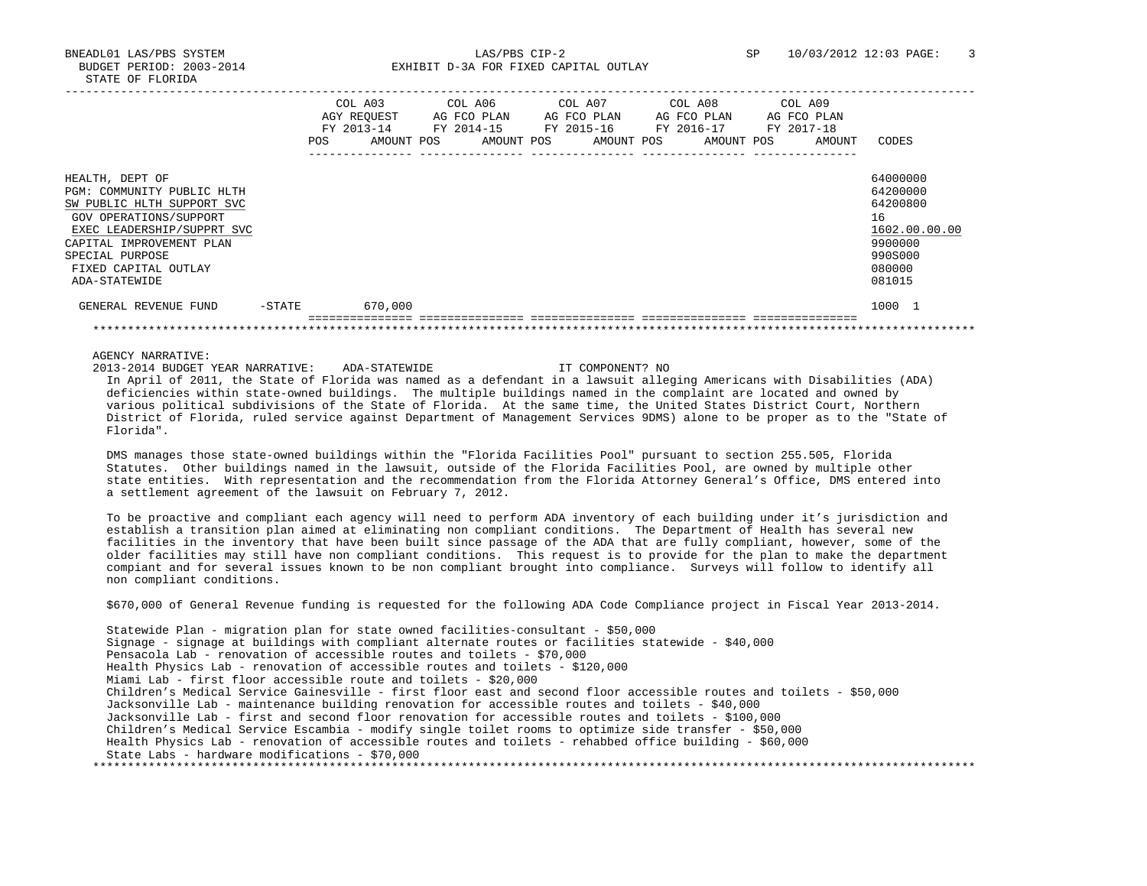BNEADL01 LAS/PBS SYSTEM LAS/PBS CIP-2 SP 10/03/2012 12:03 PAGE: 3 BUDGET PERIOD: 2003-2014 **EXHIBIT D-3A FOR FIXED CAPITAL OUTLAY** 

|                                                                                                                                                                                                                             |           | <b>POS</b> | COL A03<br>AGY REOUEST<br>FY 2013-14<br>AMOUNT POS |  | COL A06<br>AG FCO PLAN<br>FY 2014-15 | AMOUNT POS | COL A07<br>FY 2015-16 |  | AG FCO PLAN<br>AMOUNT POS |  |  | COL A08<br>AG FCO PLAN<br>FY 2016-17<br>AMOUNT POS | COL A09<br>FY 2017-18 | AG FCO PLAN<br>AMOUNT | CODES                                                                                             |
|-----------------------------------------------------------------------------------------------------------------------------------------------------------------------------------------------------------------------------|-----------|------------|----------------------------------------------------|--|--------------------------------------|------------|-----------------------|--|---------------------------|--|--|----------------------------------------------------|-----------------------|-----------------------|---------------------------------------------------------------------------------------------------|
|                                                                                                                                                                                                                             |           |            |                                                    |  |                                      |            |                       |  |                           |  |  |                                                    |                       |                       |                                                                                                   |
| HEALTH, DEPT OF<br>PGM: COMMUNITY PUBLIC HLTH<br>SW PUBLIC HLTH SUPPORT SVC<br>GOV OPERATIONS/SUPPORT<br>EXEC LEADERSHIP/SUPPRT SVC<br>CAPITAL IMPROVEMENT PLAN<br>SPECIAL PURPOSE<br>FIXED CAPITAL OUTLAY<br>ADA-STATEWIDE |           |            |                                                    |  |                                      |            |                       |  |                           |  |  |                                                    |                       |                       | 64000000<br>64200000<br>64200800<br>16<br>1602.00.00.00<br>9900000<br>990S000<br>080000<br>081015 |
| GENERAL REVENUE FUND                                                                                                                                                                                                        | $-$ STATE |            | 670,000                                            |  |                                      |            |                       |  |                           |  |  |                                                    |                       |                       | 1000 1                                                                                            |
|                                                                                                                                                                                                                             |           |            |                                                    |  |                                      |            |                       |  |                           |  |  |                                                    |                       |                       |                                                                                                   |
|                                                                                                                                                                                                                             |           |            |                                                    |  |                                      |            |                       |  |                           |  |  |                                                    |                       |                       |                                                                                                   |

AGENCY NARRATIVE:

 2013-2014 BUDGET YEAR NARRATIVE: ADA-STATEWIDE IT COMPONENT? NO In April of 2011, the State of Florida was named as a defendant in a lawsuit alleging Americans with Disabilities (ADA) deficiencies within state-owned buildings. The multiple buildings named in the complaint are located and owned by various political subdivisions of the State of Florida. At the same time, the United States District Court, Northern District of Florida, ruled service against Department of Management Services 9DMS) alone to be proper as to the "State of Florida".

 DMS manages those state-owned buildings within the "Florida Facilities Pool" pursuant to section 255.505, Florida Statutes. Other buildings named in the lawsuit, outside of the Florida Facilities Pool, are owned by multiple other state entities. With representation and the recommendation from the Florida Attorney General's Office, DMS entered into a settlement agreement of the lawsuit on February 7, 2012.

 To be proactive and compliant each agency will need to perform ADA inventory of each building under it's jurisdiction and establish a transition plan aimed at eliminating non compliant conditions. The Department of Health has several new facilities in the inventory that have been built since passage of the ADA that are fully compliant, however, some of the older facilities may still have non compliant conditions. This request is to provide for the plan to make the department compiant and for several issues known to be non compliant brought into compliance. Surveys will follow to identify all non compliant conditions.

\$670,000 of General Revenue funding is requested for the following ADA Code Compliance project in Fiscal Year 2013-2014.

 Statewide Plan - migration plan for state owned facilities-consultant - \$50,000 Signage - signage at buildings with compliant alternate routes or facilities statewide - \$40,000 Pensacola Lab - renovation of accessible routes and toilets - \$70,000 Health Physics Lab - renovation of accessible routes and toilets - \$120,000 Miami Lab - first floor accessible route and toilets - \$20,000 Children's Medical Service Gainesville - first floor east and second floor accessible routes and toilets - \$50,000 Jacksonville Lab - maintenance building renovation for accessible routes and toilets - \$40,000 Jacksonville Lab - first and second floor renovation for accessible routes and toilets - \$100,000 Children's Medical Service Escambia - modify single toilet rooms to optimize side transfer - \$50,000 Health Physics Lab - renovation of accessible routes and toilets - rehabbed office building - \$60,000 State Labs - hardware modifications - \$70,000 \*\*\*\*\*\*\*\*\*\*\*\*\*\*\*\*\*\*\*\*\*\*\*\*\*\*\*\*\*\*\*\*\*\*\*\*\*\*\*\*\*\*\*\*\*\*\*\*\*\*\*\*\*\*\*\*\*\*\*\*\*\*\*\*\*\*\*\*\*\*\*\*\*\*\*\*\*\*\*\*\*\*\*\*\*\*\*\*\*\*\*\*\*\*\*\*\*\*\*\*\*\*\*\*\*\*\*\*\*\*\*\*\*\*\*\*\*\*\*\*\*\*\*\*\*\*\*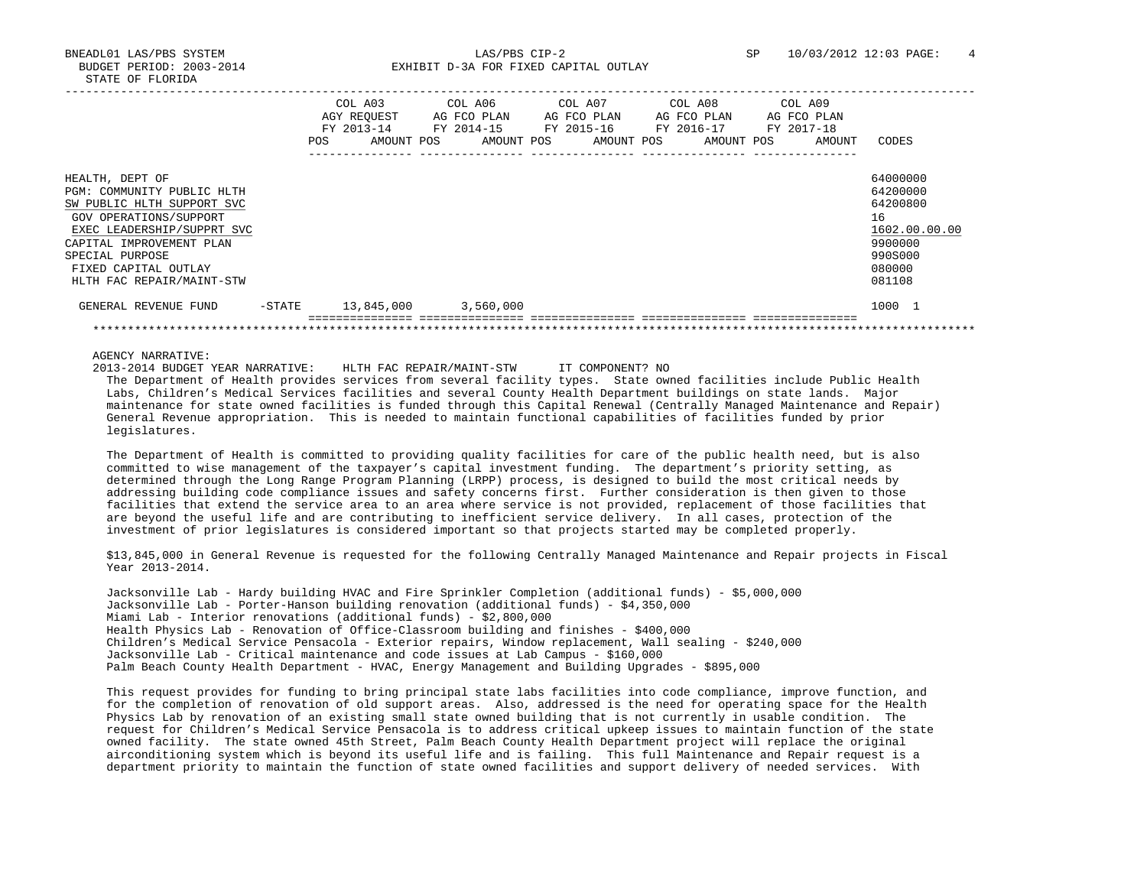BNEADL01 LAS/PBS SYSTEM LAS/PBS CIP-2 SP 10/03/2012 12:03 PAGE: 4 BUDGET PERIOD: 2003-2014 **EXHIBIT D-3A FOR FIXED CAPITAL OUTLAY** 

|                                                                                                                                                                                                                                         |           | <b>POS</b> | COL A03<br>AGY REOUEST<br>FY 2013-14<br>AMOUNT POS | COL A06<br>AG FCO PLAN<br>FY 2014-15<br>AMOUNT POS | COL A07 | AG FCO PLAN<br>FY 2015-16<br>AMOUNT POS | COL A08<br>AG FCO PLAN<br>FY 2016-17<br>AMOUNT POS | COL A09<br>AG FCO PLAN<br>FY 2017-18<br>AMOUNT | CODES                                                                                             |
|-----------------------------------------------------------------------------------------------------------------------------------------------------------------------------------------------------------------------------------------|-----------|------------|----------------------------------------------------|----------------------------------------------------|---------|-----------------------------------------|----------------------------------------------------|------------------------------------------------|---------------------------------------------------------------------------------------------------|
| HEALTH, DEPT OF<br>PGM: COMMUNITY PUBLIC HLTH<br>SW PUBLIC HLTH SUPPORT SVC<br>GOV OPERATIONS/SUPPORT<br>EXEC LEADERSHIP/SUPPRT SVC<br>CAPITAL IMPROVEMENT PLAN<br>SPECIAL PURPOSE<br>FIXED CAPITAL OUTLAY<br>HLTH FAC REPAIR/MAINT-STW |           |            |                                                    |                                                    |         |                                         |                                                    |                                                | 64000000<br>64200000<br>64200800<br>16<br>1602.00.00.00<br>9900000<br>990S000<br>080000<br>081108 |
| GENERAL REVENUE FUND                                                                                                                                                                                                                    | $-$ STATE |            | 13,845,000                                         | 3,560,000                                          |         |                                         |                                                    |                                                | 1000 1                                                                                            |
|                                                                                                                                                                                                                                         |           |            |                                                    |                                                    |         |                                         |                                                    |                                                |                                                                                                   |

AGENCY NARRATIVE:

2013-2014 BUDGET YEAR NARRATIVE: HLTH FAC REPAIR/MAINT-STW IT COMPONENT? NO

 The Department of Health provides services from several facility types. State owned facilities include Public Health Labs, Children's Medical Services facilities and several County Health Department buildings on state lands. Major maintenance for state owned facilities is funded through this Capital Renewal (Centrally Managed Maintenance and Repair) General Revenue appropriation. This is needed to maintain functional capabilities of facilities funded by prior legislatures.

 The Department of Health is committed to providing quality facilities for care of the public health need, but is also committed to wise management of the taxpayer's capital investment funding. The department's priority setting, as determined through the Long Range Program Planning (LRPP) process, is designed to build the most critical needs by addressing building code compliance issues and safety concerns first. Further consideration is then given to those facilities that extend the service area to an area where service is not provided, replacement of those facilities that are beyond the useful life and are contributing to inefficient service delivery. In all cases, protection of the investment of prior legislatures is considered important so that projects started may be completed properly.

 \$13,845,000 in General Revenue is requested for the following Centrally Managed Maintenance and Repair projects in Fiscal Year 2013-2014.

 Jacksonville Lab - Hardy building HVAC and Fire Sprinkler Completion (additional funds) - \$5,000,000 Jacksonville Lab - Porter-Hanson building renovation (additional funds) - \$4,350,000 Miami Lab - Interior renovations (additional funds) - \$2,800,000 Health Physics Lab - Renovation of Office-Classroom building and finishes - \$400,000 Children's Medical Service Pensacola - Exterior repairs, Window replacement, Wall sealing - \$240,000 Jacksonville Lab - Critical maintenance and code issues at Lab Campus - \$160,000 Palm Beach County Health Department - HVAC, Energy Management and Building Upgrades - \$895,000

 This request provides for funding to bring principal state labs facilities into code compliance, improve function, and for the completion of renovation of old support areas. Also, addressed is the need for operating space for the Health Physics Lab by renovation of an existing small state owned building that is not currently in usable condition. The request for Children's Medical Service Pensacola is to address critical upkeep issues to maintain function of the state owned facility. The state owned 45th Street, Palm Beach County Health Department project will replace the original airconditioning system which is beyond its useful life and is failing. This full Maintenance and Repair request is a department priority to maintain the function of state owned facilities and support delivery of needed services. With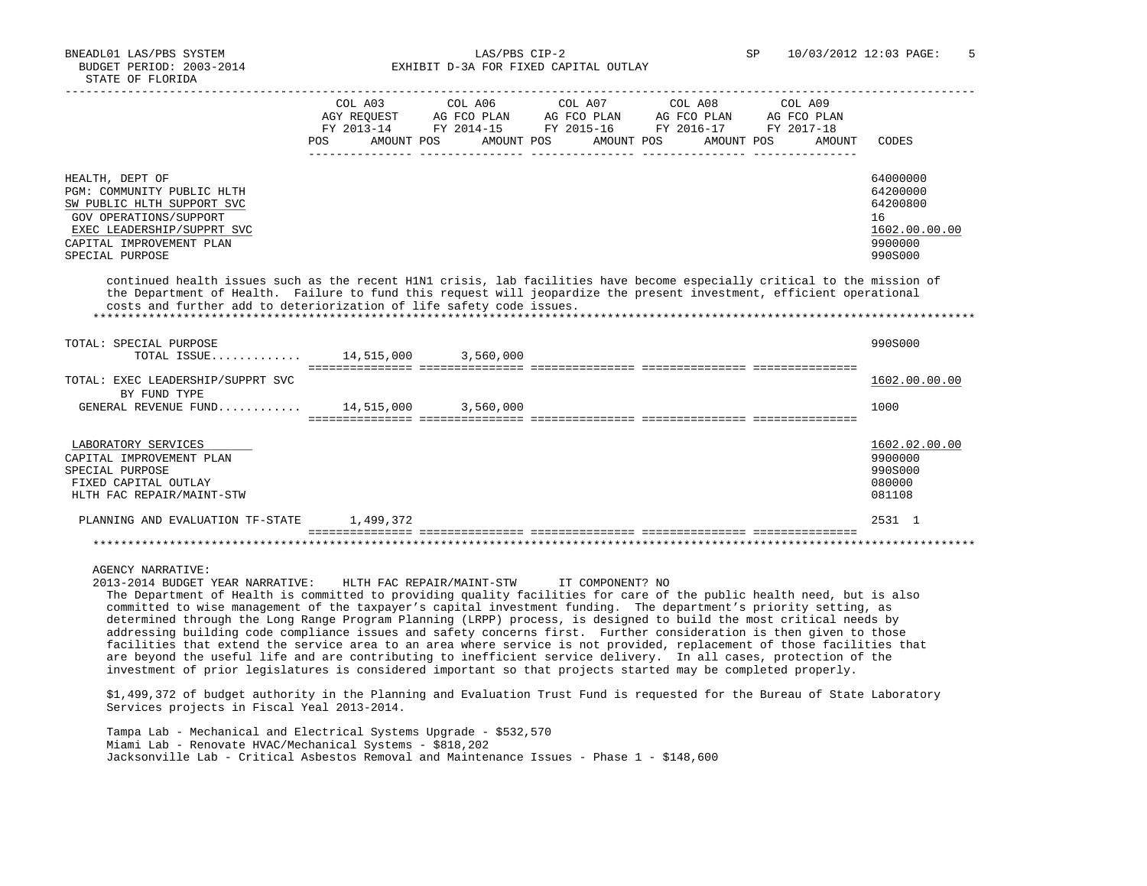BNEADL01 LAS/PBS SYSTEM LAS/PBS CIP-2 SP 10/03/2012 12:03 PAGE: 5 BUDGET PERIOD: 2003-2014 **EXHIBIT D-3A FOR FIXED CAPITAL OUTLAY** 

|                                                                                                                          | COL A03    | COL A06                                                     | COL A07 COL A08       | COL A09 |               |
|--------------------------------------------------------------------------------------------------------------------------|------------|-------------------------------------------------------------|-----------------------|---------|---------------|
|                                                                                                                          |            | AGY REOUEST AG FCO PLAN AG FCO PLAN AG FCO PLAN AG FCO PLAN |                       |         |               |
|                                                                                                                          |            | FY 2013-14 FY 2014-15 FY 2015-16 FY 2016-17 FY 2017-18      |                       |         |               |
|                                                                                                                          | <b>POS</b> | AMOUNT POS AMOUNT POS                                       | AMOUNT POS AMOUNT POS | AMOUNT  | CODES         |
|                                                                                                                          |            |                                                             |                       |         |               |
|                                                                                                                          |            |                                                             |                       |         |               |
|                                                                                                                          |            |                                                             |                       |         | 64000000      |
| HEALTH, DEPT OF                                                                                                          |            |                                                             |                       |         |               |
| PGM: COMMUNITY PUBLIC HLTH                                                                                               |            |                                                             |                       |         | 64200000      |
| SW PUBLIC HLTH SUPPORT SVC                                                                                               |            |                                                             |                       |         | 64200800      |
| GOV OPERATIONS/SUPPORT                                                                                                   |            |                                                             |                       |         | 16            |
| EXEC LEADERSHIP/SUPPRT SVC                                                                                               |            |                                                             |                       |         | 1602.00.00.00 |
| CAPITAL IMPROVEMENT PLAN                                                                                                 |            |                                                             |                       |         | 9900000       |
| SPECIAL PURPOSE                                                                                                          |            |                                                             |                       |         | 990S000       |
|                                                                                                                          |            |                                                             |                       |         |               |
|                                                                                                                          |            |                                                             |                       |         |               |
| continued health issues such as the recent H1N1 crisis, lab facilities have become especially critical to the mission of |            |                                                             |                       |         |               |
| the Department of Health. Failure to fund this request will jeopardize the present investment, efficient operational     |            |                                                             |                       |         |               |
| costs and further add to deteriorization of life safety code issues.                                                     |            |                                                             |                       |         |               |
|                                                                                                                          |            |                                                             |                       |         |               |
|                                                                                                                          |            |                                                             |                       |         |               |
| TOTAL: SPECIAL PURPOSE                                                                                                   |            |                                                             |                       |         | 990S000       |
| TOTAL ISSUE 14,515,000 3,560,000                                                                                         |            |                                                             |                       |         |               |
|                                                                                                                          |            |                                                             |                       |         |               |
| TOTAL: EXEC LEADERSHIP/SUPPRT SVC                                                                                        |            |                                                             |                       |         | 1602.00.00.00 |
| BY FUND TYPE                                                                                                             |            |                                                             |                       |         |               |
| GENERAL REVENUE FUND 14,515,000 3,560,000                                                                                |            |                                                             |                       |         | 1000          |
|                                                                                                                          |            |                                                             |                       |         |               |
|                                                                                                                          |            |                                                             |                       |         |               |
|                                                                                                                          |            |                                                             |                       |         |               |
| LABORATORY SERVICES                                                                                                      |            |                                                             |                       |         | 1602.02.00.00 |
| CAPITAL IMPROVEMENT PLAN                                                                                                 |            |                                                             |                       |         | 9900000       |
| SPECIAL PURPOSE                                                                                                          |            |                                                             |                       |         | 990S000       |
| FIXED CAPITAL OUTLAY                                                                                                     |            |                                                             |                       |         | 080000        |
| HLTH FAC REPAIR/MAINT-STW                                                                                                |            |                                                             |                       |         | 081108        |
|                                                                                                                          |            |                                                             |                       |         |               |
| PLANNING AND EVALUATION TF-STATE                                                                                         | 1,499,372  |                                                             |                       |         | 2531 1        |
|                                                                                                                          |            |                                                             |                       |         |               |
|                                                                                                                          |            |                                                             |                       |         |               |
|                                                                                                                          |            |                                                             |                       |         |               |
|                                                                                                                          |            |                                                             |                       |         |               |

AGENCY NARRATIVE:

 2013-2014 BUDGET YEAR NARRATIVE: HLTH FAC REPAIR/MAINT-STW IT COMPONENT? NO The Department of Health is committed to providing quality facilities for care of the public health need, but is also committed to wise management of the taxpayer's capital investment funding. The department's priority setting, as determined through the Long Range Program Planning (LRPP) process, is designed to build the most critical needs by addressing building code compliance issues and safety concerns first. Further consideration is then given to those facilities that extend the service area to an area where service is not provided, replacement of those facilities that are beyond the useful life and are contributing to inefficient service delivery. In all cases, protection of the investment of prior legislatures is considered important so that projects started may be completed properly.

 \$1,499,372 of budget authority in the Planning and Evaluation Trust Fund is requested for the Bureau of State Laboratory Services projects in Fiscal Yeal 2013-2014.

 Tampa Lab - Mechanical and Electrical Systems Upgrade - \$532,570 Miami Lab - Renovate HVAC/Mechanical Systems - \$818,202 Jacksonville Lab - Critical Asbestos Removal and Maintenance Issues - Phase 1 - \$148,600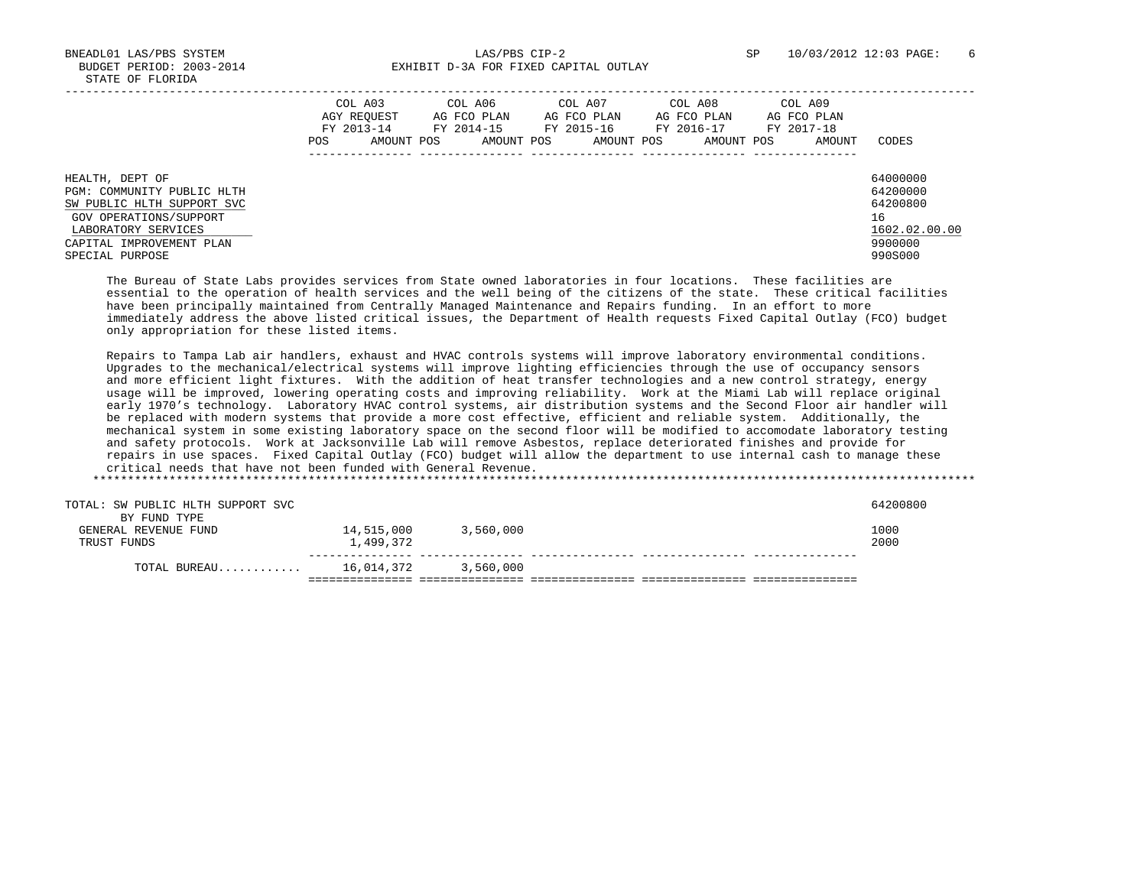BNEADL01 LAS/PBS SYSTEM LAS/PBS CIP-2 SP 10/03/2012 12:03 PAGE: 6 BUDGET PERIOD: 2003-2014 **EXHIBIT D-3A FOR FIXED CAPITAL OUTLAY** 

|                                                                                                                                                                             | COL A03<br>AGY REOUEST<br>FY 2013-14<br>AMOUNT POS<br>POS. | COL A06<br>AG FCO PLAN<br>FY 2014-15<br>AMOUNT POS | COL A07<br>AG FCO PLAN<br>FY 2015-16<br>AMOUNT POS | COL A08<br>AG FCO PLAN<br>FY 2016-17<br>AMOUNT POS | COL A09<br>AG FCO PLAN<br>FY 2017-18<br>AMOUNT | CODES                                                                         |
|-----------------------------------------------------------------------------------------------------------------------------------------------------------------------------|------------------------------------------------------------|----------------------------------------------------|----------------------------------------------------|----------------------------------------------------|------------------------------------------------|-------------------------------------------------------------------------------|
| HEALTH, DEPT OF<br>PGM: COMMUNITY PUBLIC HLTH<br>SW PUBLIC HLTH SUPPORT SVC<br>GOV OPERATIONS/SUPPORT<br>LABORATORY SERVICES<br>CAPITAL IMPROVEMENT PLAN<br>SPECIAL PURPOSE |                                                            |                                                    |                                                    |                                                    |                                                | 64000000<br>64200000<br>64200800<br>16<br>1602.02.00.00<br>9900000<br>990S000 |

 The Bureau of State Labs provides services from State owned laboratories in four locations. These facilities are essential to the operation of health services and the well being of the citizens of the state. These critical facilities have been principally maintained from Centrally Managed Maintenance and Repairs funding. In an effort to more immediately address the above listed critical issues, the Department of Health requests Fixed Capital Outlay (FCO) budget only appropriation for these listed items.

 Repairs to Tampa Lab air handlers, exhaust and HVAC controls systems will improve laboratory environmental conditions. Upgrades to the mechanical/electrical systems will improve lighting efficiencies through the use of occupancy sensors and more efficient light fixtures. With the addition of heat transfer technologies and a new control strategy, energy usage will be improved, lowering operating costs and improving reliability. Work at the Miami Lab will replace original early 1970's technology. Laboratory HVAC control systems, air distribution systems and the Second Floor air handler will be replaced with modern systems that provide a more cost effective, efficient and reliable system. Additionally, the mechanical system in some existing laboratory space on the second floor will be modified to accomodate laboratory testing and safety protocols. Work at Jacksonville Lab will remove Asbestos, replace deteriorated finishes and provide for repairs in use spaces. Fixed Capital Outlay (FCO) budget will allow the department to use internal cash to manage these critical needs that have not been funded with General Revenue.

| TOTAL: SW PUBLIC HLTH SUPPORT SVC |            |           |  | 64200800 |
|-----------------------------------|------------|-----------|--|----------|
| BY FUND TYPE                      |            |           |  |          |
| GENERAL REVENUE FUND              | 14,515,000 | 3,560,000 |  | 1000     |
| TRUST FUNDS                       | 1,499,372  |           |  | 2000     |
|                                   |            |           |  |          |
| TOTAL BUREAU                      | 16,014,372 | 3,560,000 |  |          |
|                                   |            |           |  |          |